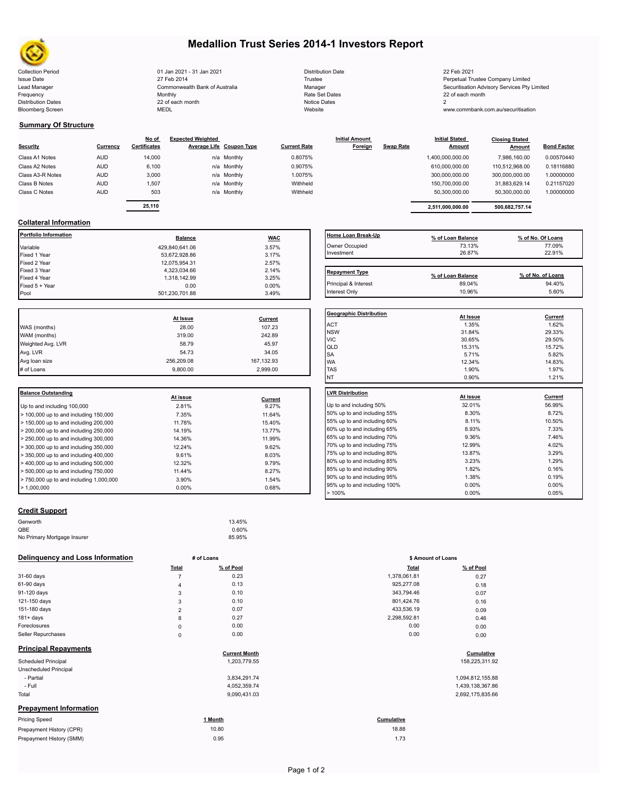

Bloomberg Screen

## **Medallion Trust Series 2014-1 Investors Report**

Collection Period 22 Feb 2021 21 Jan 2021 - 31 Jan 2021 22 Feb 2021 Distribution Date 22 Feb 2021 Issue Date **Trustee Company Limited** 27 Feb 2014 **1996** Trustee Trustee Trustee Perpetual Trustee Company Limited Lead Manager **Manager** Manager Securitisation Advisory Services Pty Limited Commonwealth Bank of Australia Manager Manager Securitisation Advisory Services Pty Limited Frequency 22 of each month Monthly Monthly Rate Set Dates Rate Set Dates 22 of each month Distribution Dates **Notice 2** and the control of the 22 of each month **Notice Dates** Notice Dates 2 27 Feb 2014 Commonwealth Bank of Australia Monthly 22 of each month

| <b>Distribution Date</b> |
|--------------------------|
| Trustee                  |
| Manager                  |
| Rate Set Dates           |
| <b>Notice Dates</b>      |
| Website                  |

www.commbank.com.au/securitisation

### **Summary Of Structure**

| Security         | Currency   | No of<br><b>Certificates</b> | <b>Expected Weighted</b><br>Average Life Coupon Type |             | <b>Current Rate</b> | <b>Initial Amount</b><br>Foreign | <b>Swap Rate</b> | <b>Initial Stated</b><br><b>Amount</b> | <b>Closing Stated</b><br>Amount | <b>Bond Factor</b> |  |
|------------------|------------|------------------------------|------------------------------------------------------|-------------|---------------------|----------------------------------|------------------|----------------------------------------|---------------------------------|--------------------|--|
| Class A1 Notes   | <b>AUD</b> | 14,000                       |                                                      | n/a Monthly | 0.8075%             |                                  |                  | 1,400,000,000.00                       | 7.986.160.00                    | 0.00570440         |  |
| Class A2 Notes   | <b>AUD</b> | 6,100                        |                                                      | n/a Monthly | 0.9075%             |                                  |                  | 610,000,000.00                         | 110,512,968.00                  | 0.18116880         |  |
| Class A3-R Notes | <b>AUD</b> | 3,000                        |                                                      | n/a Monthly | 1.0075%             |                                  |                  | 300,000,000.00                         | 300,000,000.00                  | 1.00000000         |  |
| Class B Notes    | <b>AUD</b> | 1,507                        |                                                      | n/a Monthly | Withheld            |                                  |                  | 150,700,000.00                         | 31,883,629.14                   | 0.21157020         |  |
| Class C Notes    | <b>AUD</b> | 503                          |                                                      | n/a Monthly | Withheld            |                                  |                  | 50.300.000.00                          | 50,300,000.00                   | 1.00000000         |  |
|                  |            |                              |                                                      |             |                     |                                  |                  |                                        |                                 |                    |  |

| 25,110 |             |          | 2.511.000.000.00 | 500.682.757.14 |            |
|--------|-------------|----------|------------------|----------------|------------|
| 503    | n/a Monthly | Withheld | 50.300.000.00    | 50.300.000.00  | 1.00000000 |
| 1.507  | n/a Monthly | Withheld | 150.700.000.00   | 31.883.629.14  | 0.21157020 |
| 3.000  | n/a Monthly | 1.0075%  | 300.000.000.00   | 300.000.000.00 | 1.00000000 |
| 6.100  | n/a Monthly | 0.9075%  | 610.000.000.00   | 110.512.968.00 | 0.18116880 |
| 14.000 | n/a Monthly | 0.8075%  | 1.400.000.000.00 | 7.986.160.00   | 0.00570440 |

### **Collateral Information**

| Portfolio Information | <b>Balance</b> | <b>WAC</b> | <b>Home Loan Break</b> |
|-----------------------|----------------|------------|------------------------|
| Variable              | 429.840.641.06 | 3.57%      | Owner Occupied         |
| Fixed 1 Year          | 53,672,928.86  | 3.17%      | Investment             |
| Fixed 2 Year          | 12,075,954.31  | 2.57%      |                        |
| Fixed 3 Year          | 4,323,034.66   | 2.14%      | <b>Repayment Type</b>  |
| Fixed 4 Year          | 1.318.142.99   | 3.25%      |                        |
| Fixed 5 + Year        | 0.00           | $0.00\%$   | Principal & Interest   |
| Pool                  | 501.230.701.88 | 3.49%      | Interest Only          |
|                       |                |            |                        |

|                   |            |            | Geo              |
|-------------------|------------|------------|------------------|
|                   | At Issue   | Current    |                  |
| WAS (months)      | 28.00      | 107.23     | AC <sup>-</sup>  |
| WAM (months)      | 319.00     | 242.89     | <b>NS</b><br>VIC |
| Weighted Avg. LVR | 58.79      | 45.97      | QLI              |
| Avg. LVR          | 54.73      | 34.05      | <b>SA</b>        |
| Avg loan size     | 256.209.08 | 167,132.93 | <b>WA</b>        |
| # of Loans        | 9.800.00   | 2.999.00   | <b>TAS</b>       |
|                   |            |            |                  |

| <b>Balance Outstanding</b>              | At issue | Current | <b>ILVR Distribution</b> |
|-----------------------------------------|----------|---------|--------------------------|
| Up to and including 100,000             | 2.81%    | 9.27%   | Up to and including      |
| $>$ 100,000 up to and including 150,000 | 7.35%    | 11.64%  | 50% up to and incl       |
| > 150,000 up to and including 200,000   | 11.78%   | 15.40%  | 55% up to and incl       |
| $> 200,000$ up to and including 250,000 | 14.19%   | 13.77%  | 60% up to and incl       |
| $> 250,000$ up to and including 300,000 | 14.36%   | 11.99%  | 65% up to and incl       |
| $>$ 300,000 up to and including 350,000 | 12.24%   | 9.62%   | 70% up to and incl       |
| $>$ 350,000 up to and including 400,000 | 9.61%    | 8.03%   | 75% up to and incl       |
| > 400,000 up to and including 500,000   | 12.32%   | 9.79%   | 80% up to and incl       |
| $>$ 500,000 up to and including 750,000 | 11.44%   | 8.27%   | 85% up to and incl       |
| > 750,000 up to and including 1,000,000 | 3.90%    | 1.54%   | 90% up to and incl       |
| $\blacktriangleright$ 1.000.000         | $0.00\%$ | 0.68%   | 95% up to and incl       |

# **Credit Support**

| Genworth                    | 13.45% |  |
|-----------------------------|--------|--|
| QBE                         | 0.60%  |  |
| No Primary Mortgage Insurer | 85.95% |  |
|                             |        |  |

### **Delinquency and Loss Information # of Loans**

|                               | Total          | % of Pool            | Total        | % of Pool        |
|-------------------------------|----------------|----------------------|--------------|------------------|
| 31-60 days                    | $\overline{7}$ | 0.23                 | 1,378,061.81 | 0.27             |
| 61-90 days                    | 4              | 0.13                 | 925,277.08   | 0.18             |
| 91-120 days                   | 3              | 0.10                 | 343,794.46   | 0.07             |
| 121-150 days                  | 3              | 0.10                 | 801,424.76   | 0.16             |
| 151-180 days                  | $\overline{2}$ | 0.07                 | 433,536.19   | 0.09             |
| $181 + days$                  | 8              | 0.27                 | 2,298,592.81 | 0.46             |
| Foreclosures                  | $\pmb{0}$      | 0.00                 | 0.00         | 0.00             |
| Seller Repurchases            | $\mathbf 0$    | 0.00                 | 0.00         | 0.00             |
| <b>Principal Repayments</b>   |                | <b>Current Month</b> |              | Cumulative       |
| Scheduled Principal           |                | 1,203,779.55         |              | 158,225,311.92   |
| Unscheduled Principal         |                |                      |              |                  |
| - Partial                     |                | 3,834,291.74         |              | 1,094,812,155.88 |
| - Full                        |                | 4,052,359.74         |              | 1,439,138,367.86 |
| Total                         |                | 9,090,431.03         |              | 2,692,175,835.66 |
| <b>Prepayment Information</b> |                |                      |              |                  |
| <b>Pricing Speed</b>          |                | 1 Month              | Cumulative   |                  |
| Prepayment History (CPR)      |                | 10.80                | 18.88        |                  |
| Prepayment History (SMM)      |                | 0.95                 | 1.73         |                  |

| Home Loan Break-Up    | % of Loan Balance | % of No. Of Loans |
|-----------------------|-------------------|-------------------|
| Owner Occupied        | 73.13%            | 77.09%            |
| Investment            | 26.87%            | 22.91%            |
|                       |                   |                   |
| <b>Repayment Type</b> | % of Loan Balance | % of No. of Loans |
| Principal & Interest  | 89.04%            | 94.40%            |

Interest Only 10.96% 5.60%

| <b>Geographic Distribution</b> | At Issue | Current |
|--------------------------------|----------|---------|
| <b>ACT</b>                     | 1.35%    | 1.62%   |
| <b>NSW</b>                     | 31.84%   | 29.33%  |
| <b>VIC</b>                     | 30.65%   | 29.50%  |
| QLD                            | 15.31%   | 15.72%  |
| <b>SA</b>                      | 5.71%    | 5.82%   |
| <b>WA</b>                      | 12.34%   | 14.83%  |
| <b>TAS</b>                     | 1.90%    | 1.97%   |
| NT                             | 0.90%    | 1.21%   |
| <b>LVR Distribution</b>        | At issue | Current |
| Up to and including 50%        | 32.01%   | 56.99%  |
| 50% up to and including 55%    | 8.30%    | 8.72%   |
|                                | 8.11%    | 10.50%  |
| 55% up to and including 60%    |          |         |
| 60% up to and including 65%    | 8.93%    | 7.33%   |
| 65% up to and including 70%    | 9.36%    | 7.46%   |
| 70% up to and including 75%    | 12.99%   | 4.02%   |
| 75% up to and including 80%    | 13.87%   | 3.29%   |
| 80% up to and including 85%    | 3.23%    | 1.29%   |
| 85% up to and including 90%    | 1.82%    | 0.16%   |
| 90% up to and including 95%    | 1.38%    | 0.19%   |
| 95% up to and including 100%   | 0.00%    | 0.00%   |
| >100%                          | 0.00%    | 0.05%   |
|                                |          |         |

|                | # of Loans | \$ Amount of Loans |           |
|----------------|------------|--------------------|-----------|
| Total          | % of Pool  | <b>Total</b>       | % of Pool |
| 7              | 0.23       | 1,378,061.81       | 0.27      |
| 4              | 0.13       | 925,277.08         | 0.18      |
| 3              | 0.10       | 343,794.46         | 0.07      |
| 3              | 0.10       | 801,424.76         | 0.16      |
| $\overline{2}$ | 0.07       | 433,536.19         | 0.09      |
| 8              | 0.27       | 2,298,592.81       | 0.46      |
| 0              | 0.00       | 0.00               | 0.00      |
| 0              | 0.00       | 0.00               | 0.00      |

# **Cumulative**<br>
55<br>
158,225,311.92